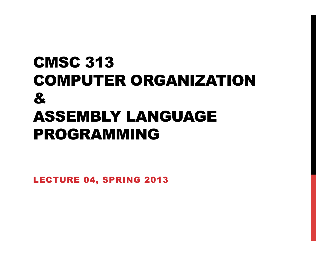# CMSC 313 COMPUTER ORGANIZATION & ASSEMBLY LANGUAGE PROGRAMMING

LECTURE 04, SPRING 2013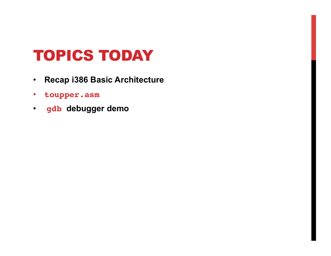# TOPICS TODAY

- **Recap i386 Basic Architecture**
- **toupper.asm**
- **gdb debugger demo**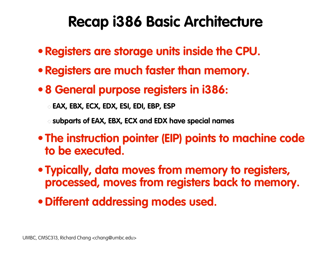# **Recap i386 Basic Architecture**

- **Registers are storage units inside the CPU.**
- **Registers are much faster than memory.**
- **•8 General purpose registers in i386:**

**EAX, EBX, ECX, EDX, ESI, EDI, EBP, ESP**

**subparts of EAX, EBX, ECX and EDX have special names**

- **• The instruction pointer (EIP) points to machine code to be executed.**
- **Typically, data moves from memory to registers, processed, moves from registers back to memory.**
- **•Different addressing modes used.**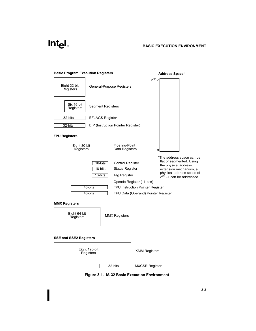#### **intel**

#### **BASIC EXECUTION ENVIRONMENT**



**Figure 3-1. IA-32 Basic Execution Environment**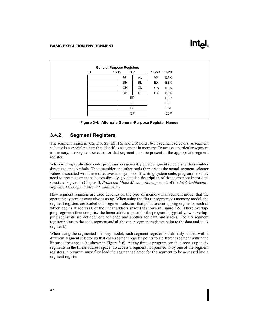|    | <b>General-Purpose Registers</b> |           |           |               |
|----|----------------------------------|-----------|-----------|---------------|
| 31 | 16 15                            | 87        | 0         | 16-bit 32-bit |
|    | AH                               | AL        | AX        | EAX           |
|    | <b>BH</b>                        | <b>BL</b> | BX        | EBX           |
|    | CН                               | CL        | <b>CX</b> | <b>ECX</b>    |
|    | <b>DH</b>                        | DL        | DX        | <b>EDX</b>    |
|    |                                  | <b>BP</b> |           | EBP           |
|    | SI                               |           |           | ESI           |
|    | DI                               |           |           | <b>EDI</b>    |
|    | SP                               |           |           | <b>ESP</b>    |

**Figure 3-4. Alternate General-Purpose Register Names**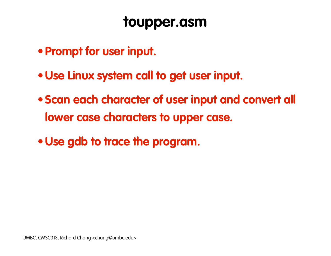## **toupper.asm**

- **Prompt for user input.**
- **•Use Linux system call to get user input.**
- **• Scan each character of user input and convert all lower case characters to upper case.**
- **•Use gdb to trace the program.**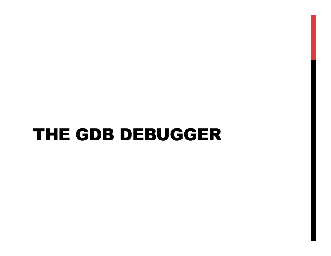# THE GDB DEBUGGER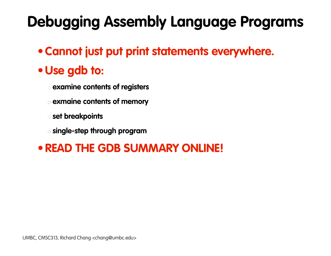# **Debugging Assembly Language Programs**

- **•Cannot just put print statements everywhere.**
- **•Use gdb to:**
	- **examine contents of registers**
	- **exmaine contents of memory**
	- **set breakpoints**
	- **single-step through program**

### **• READ THE GDB SUMMARY ONLINE!**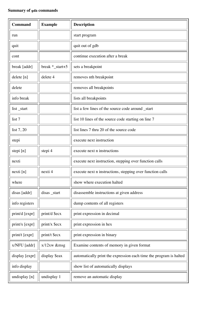| <b>Command</b> | <b>Example</b>     | <b>Description</b>                                                 |  |
|----------------|--------------------|--------------------------------------------------------------------|--|
| run            |                    | start program                                                      |  |
| quit           |                    | quit out of gdb                                                    |  |
| cont           |                    | continue execution after a break                                   |  |
| break [addr]   | break $*$ _start+5 | sets a breakpoint                                                  |  |
| delete $[n]$   | delete 4           | removes nth breakpoint                                             |  |
| delete         |                    | removes all breakpoints                                            |  |
| info break     |                    | lists all breakpoints                                              |  |
| list _start    |                    | list a few lines of the source code around _start                  |  |
| list 7         |                    | list 10 lines of the source code starting on line 7                |  |
| list 7, 20     |                    | list lines 7 thru 20 of the source code                            |  |
| stepi          |                    | execute next instruction                                           |  |
| stepi [n]      | stepi 4            | execute next n instructions                                        |  |
| nexti          |                    | execute next instruction, stepping over function calls             |  |
| nexti[n]       | nexti 4            | execute next n instructions, stepping over function calls          |  |
| where          |                    | show where execution halted                                        |  |
| disas [addr]   | disas _start       | disassemble instructions at given address                          |  |
| info registers |                    | dump contents of all registers                                     |  |
| print/d [expr] | print/d \$ecx      | print expression in decimal                                        |  |
| print/x [expr] | print/x \$ecx      | print expression in hex                                            |  |
| print/t [expr] | print/t \$ecx      | print expression in binary                                         |  |
| x/NFU [addr]   | x/12xw &msg        | Examine contents of memory in given format                         |  |
| display [expr] | display \$eax      | automatically print the expression each time the program is halted |  |
| info display   |                    | show list of automatically displays                                |  |
| undisplay [n]  | undisplay 1        | remove an automatic display                                        |  |